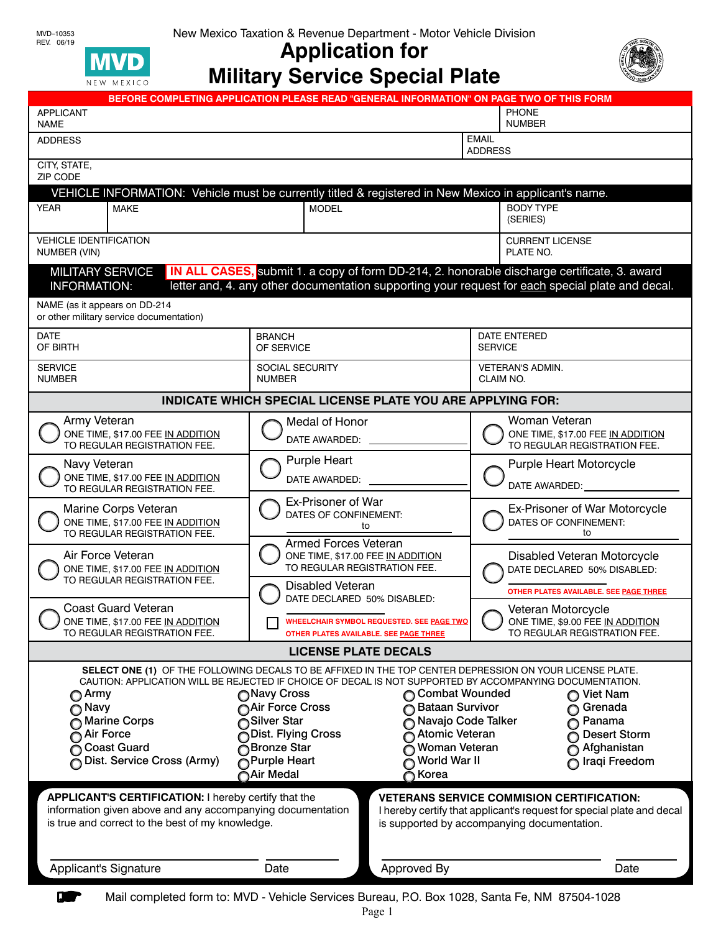MVD–10353 New Mexico Taxation & Revenue Department - Motor Vehicle Division REV. 06/19

 $N \to W$  $M$  F X I C O

**Application for Military Service Special Plate**



|                                                                                                                                                                                                                                                   |                                                                                                                                                                                                                                            |                                                                                                                                        | BEFORE COMPLETING APPLICATION PLEASE READ "GENERAL INFORMATION" ON PAGE TWO OF THIS FORM                                                                                                                                                                                                                           |  |  |
|---------------------------------------------------------------------------------------------------------------------------------------------------------------------------------------------------------------------------------------------------|--------------------------------------------------------------------------------------------------------------------------------------------------------------------------------------------------------------------------------------------|----------------------------------------------------------------------------------------------------------------------------------------|--------------------------------------------------------------------------------------------------------------------------------------------------------------------------------------------------------------------------------------------------------------------------------------------------------------------|--|--|
| <b>APPLICANT</b><br><b>NAME</b>                                                                                                                                                                                                                   |                                                                                                                                                                                                                                            |                                                                                                                                        | <b>PHONE</b><br><b>NUMBER</b>                                                                                                                                                                                                                                                                                      |  |  |
| <b>ADDRESS</b>                                                                                                                                                                                                                                    |                                                                                                                                                                                                                                            |                                                                                                                                        | <b>EMAIL</b><br><b>ADDRESS</b>                                                                                                                                                                                                                                                                                     |  |  |
| CITY, STATE,<br><b>ZIP CODE</b>                                                                                                                                                                                                                   |                                                                                                                                                                                                                                            |                                                                                                                                        |                                                                                                                                                                                                                                                                                                                    |  |  |
| VEHICLE INFORMATION: Vehicle must be currently titled & registered in New Mexico in applicant's name.                                                                                                                                             |                                                                                                                                                                                                                                            |                                                                                                                                        |                                                                                                                                                                                                                                                                                                                    |  |  |
| <b>YEAR</b><br><b>MAKE</b>                                                                                                                                                                                                                        | <b>MODEL</b>                                                                                                                                                                                                                               |                                                                                                                                        | <b>BODY TYPE</b><br>(SERIES)                                                                                                                                                                                                                                                                                       |  |  |
| <b>VEHICLE IDENTIFICATION</b><br>NUMBER (VIN)                                                                                                                                                                                                     |                                                                                                                                                                                                                                            |                                                                                                                                        | <b>CURRENT LICENSE</b><br>PLATE NO.                                                                                                                                                                                                                                                                                |  |  |
| IN ALL CASES, submit 1. a copy of form DD-214, 2. honorable discharge certificate, 3. award<br><b>MILITARY SERVICE</b><br>letter and, 4. any other documentation supporting your request for each special plate and decal.<br><b>INFORMATION:</b> |                                                                                                                                                                                                                                            |                                                                                                                                        |                                                                                                                                                                                                                                                                                                                    |  |  |
| NAME (as it appears on DD-214<br>or other military service documentation)                                                                                                                                                                         |                                                                                                                                                                                                                                            |                                                                                                                                        |                                                                                                                                                                                                                                                                                                                    |  |  |
| <b>DATE</b><br>OF BIRTH                                                                                                                                                                                                                           | <b>BRANCH</b><br>OF SERVICE                                                                                                                                                                                                                |                                                                                                                                        | <b>DATE ENTERED</b><br><b>SERVICE</b>                                                                                                                                                                                                                                                                              |  |  |
| <b>SERVICE</b><br><b>NUMBER</b>                                                                                                                                                                                                                   | <b>SOCIAL SECURITY</b><br><b>NUMBER</b>                                                                                                                                                                                                    |                                                                                                                                        | <b>VETERAN'S ADMIN.</b><br>CLAIM NO.                                                                                                                                                                                                                                                                               |  |  |
| <b>INDICATE WHICH SPECIAL LICENSE PLATE YOU ARE APPLYING FOR:</b>                                                                                                                                                                                 |                                                                                                                                                                                                                                            |                                                                                                                                        |                                                                                                                                                                                                                                                                                                                    |  |  |
| Army Veteran<br>ONE TIME, \$17.00 FEE IN ADDITION<br>TO REGULAR REGISTRATION FEE.                                                                                                                                                                 | Medal of Honor<br>DATE AWARDED:                                                                                                                                                                                                            |                                                                                                                                        | Woman Veteran<br>ONE TIME, \$17.00 FEE IN ADDITION<br>TO REGULAR REGISTRATION FEE.                                                                                                                                                                                                                                 |  |  |
| Navy Veteran<br>ONE TIME, \$17.00 FEE IN ADDITION<br>TO REGULAR REGISTRATION FEE.                                                                                                                                                                 | <b>Purple Heart</b><br>DATE AWARDED:                                                                                                                                                                                                       |                                                                                                                                        | Purple Heart Motorcycle<br>DATE AWARDED:                                                                                                                                                                                                                                                                           |  |  |
| Marine Corps Veteran<br>ONE TIME, \$17.00 FEE IN ADDITION<br>TO REGULAR REGISTRATION FEE.                                                                                                                                                         | Ex-Prisoner of War<br>DATES OF CONFINEMENT:<br>to                                                                                                                                                                                          |                                                                                                                                        | Ex-Prisoner of War Motorcycle<br>DATES OF CONFINEMENT:<br>to                                                                                                                                                                                                                                                       |  |  |
| Air Force Veteran<br>ONE TIME, \$17.00 FEE IN ADDITION<br>TO REGULAR REGISTRATION FEE.                                                                                                                                                            | Armed Forces Veteran<br>ONE TIME, \$17.00 FEE IN ADDITION<br>TO REGULAR REGISTRATION FEE.<br><b>Disabled Veteran</b><br>DATE DECLARED 50% DISABLED:<br>WHEELCHAIR SYMBOL REQUESTED. SEE PAGE TWO<br>OTHER PLATES AVAILABLE. SEE PAGE THREE |                                                                                                                                        | Disabled Veteran Motorcycle<br>DATE DECLARED 50% DISABLED:                                                                                                                                                                                                                                                         |  |  |
| <b>Coast Guard Veteran</b><br>ONE TIME, \$17.00 FEE IN ADDITION<br>TO REGULAR REGISTRATION FEE.                                                                                                                                                   |                                                                                                                                                                                                                                            |                                                                                                                                        | OTHER PLATES AVAILABLE. SEE PAGE THREE<br>Veteran Motorcycle<br>ONE TIME, \$9.00 FEE IN ADDITION<br>TO REGULAR REGISTRATION FEE.                                                                                                                                                                                   |  |  |
|                                                                                                                                                                                                                                                   | <b>LICENSE PLATE DECALS</b>                                                                                                                                                                                                                |                                                                                                                                        |                                                                                                                                                                                                                                                                                                                    |  |  |
| ◯ Army<br>O Navy<br>Marine Corps<br>Air Force<br><b>Coast Guard</b><br>Dist. Service Cross (Army)                                                                                                                                                 | ◯Navy Cross<br>Air Force Cross<br>jSilver Star<br>nDist. Flying Cross<br><b>Õ</b> Bronze Star<br>Purple Heart<br><b>OAir Medal</b>                                                                                                         | Combat Wounded<br><b>Bataan Survivor</b><br>Navajo Code Talker<br>Atomic Veteran<br>⊙ Woman Veteran<br>O World War II<br><b>∩Korea</b> | SELECT ONE (1) OF THE FOLLOWING DECALS TO BE AFFIXED IN THE TOP CENTER DEPRESSION ON YOUR LICENSE PLATE.<br>CAUTION: APPLICATION WILL BE REJECTED IF CHOICE OF DECAL IS NOT SUPPORTED BY ACCOMPANYING DOCUMENTATION.<br>◯ Viet Nam<br>Grenada<br>O<br>o Panama<br>○ Desert Storm<br>Afghanistan<br>∩ Iraqi Freedom |  |  |
| APPLICANT'S CERTIFICATION: I hereby certify that the<br>information given above and any accompanying documentation<br>is true and correct to the best of my knowledge.                                                                            |                                                                                                                                                                                                                                            |                                                                                                                                        | <b>VETERANS SERVICE COMMISION CERTIFICATION:</b><br>I hereby certify that applicant's request for special plate and decal<br>is supported by accompanying documentation.                                                                                                                                           |  |  |
| Applicant's Signature                                                                                                                                                                                                                             | Date                                                                                                                                                                                                                                       | Approved By                                                                                                                            | Date                                                                                                                                                                                                                                                                                                               |  |  |

Mail completed form to: MVD - Vehicle Services Bureau, P.O. Box 1028, Santa Fe, NM 87504-1028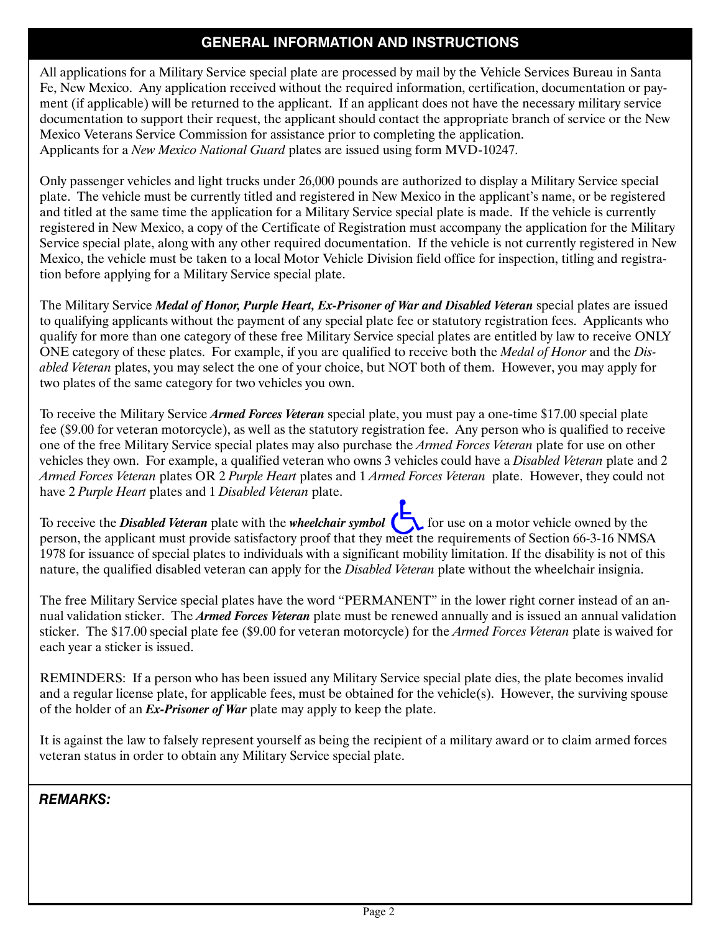## **GENERAL INFORMATION AND INSTRUCTIONS**

All applications for a Military Service special plate are processed by mail by the Vehicle Services Bureau in Santa Fe, New Mexico. Any application received without the required information, certification, documentation or payment (if applicable) will be returned to the applicant. If an applicant does not have the necessary military service documentation to support their request, the applicant should contact the appropriate branch of service or the New Mexico Veterans Service Commission for assistance prior to completing the application. Applicants for a *New Mexico National Guard* plates are issued using form MVD-10247.

Only passenger vehicles and light trucks under 26,000 pounds are authorized to display a Military Service special plate. The vehicle must be currently titled and registered in New Mexico in the applicant's name, or be registered and titled at the same time the application for a Military Service special plate is made. If the vehicle is currently registered in New Mexico, a copy of the Certificate of Registration must accompany the application for the Military Service special plate, along with any other required documentation. If the vehicle is not currently registered in New Mexico, the vehicle must be taken to a local Motor Vehicle Division field office for inspection, titling and registration before applying for a Military Service special plate.

The Military Service *Medal of Honor, Purple Heart, Ex-Prisoner of War and Disabled Veteran* special plates are issued to qualifying applicants without the payment of any special plate fee or statutory registration fees. Applicants who qualify for more than one category of these free Military Service special plates are entitled by law to receive ONLY ONE category of these plates. For example, if you are qualified to receive both the *Medal of Honor* and the *Disabled Veteran* plates, you may select the one of your choice, but NOT both of them. However, you may apply for two plates of the same category for two vehicles you own.

To receive the Military Service *Armed Forces Veteran* special plate, you must pay a one-time \$17.00 special plate fee (\$9.00 for veteran motorcycle), as well as the statutory registration fee. Any person who is qualified to receive one of the free Military Service special plates may also purchase the *Armed Forces Veteran* plate for use on other vehicles they own. For example, a qualified veteran who owns 3 vehicles could have a *Disabled Veteran* plate and 2 *Armed Forces Veteran* plates OR 2 *Purple Heart* plates and 1 *Armed Forces Veteran* plate. However, they could not have 2 *Purple Heart* plates and 1 *Disabled Veteran* plate.

To receive the *Disabled Veteran* plate with the *wheelchair symbol*  $\left(\sum$  for use on a motor vehicle owned by the person, the applicant must provide satisfactory proof that they meet the requirements of Section 66-3-16 NMSA 1978 for issuance of special plates to individuals with a significant mobility limitation. If the disability is not of this nature, the qualified disabled veteran can apply for the *Disabled Veteran* plate without the wheelchair insignia.

The free Military Service special plates have the word "PERMANENT" in the lower right corner instead of an annual validation sticker. The *Armed Forces Veteran* plate must be renewed annually and is issued an annual validation sticker. The \$17.00 special plate fee (\$9.00 for veteran motorcycle) for the *Armed Forces Veteran* plate is waived for each year a sticker is issued.

REMINDERS: If a person who has been issued any Military Service special plate dies, the plate becomes invalid and a regular license plate, for applicable fees, must be obtained for the vehicle(s). However, the surviving spouse of the holder of an *Ex-Prisoner of War* plate may apply to keep the plate.

It is against the law to falsely represent yourself as being the recipient of a military award or to claim armed forces veteran status in order to obtain any Military Service special plate.

*REMARKS:*